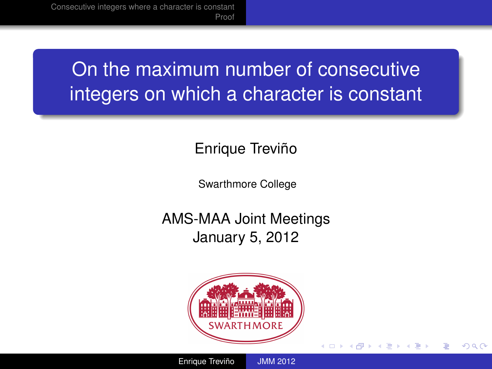# On the maximum number of consecutive integers on which a character is constant

## Enrique Treviño

Swarthmore College

AMS-MAA Joint Meetings January 5, 2012



(ロ) (伊)

→ 唐 > → 唐 >

<span id="page-0-0"></span>ă

 $2Q$ 

Enrique Treviño [JMM 2012](#page-13-0)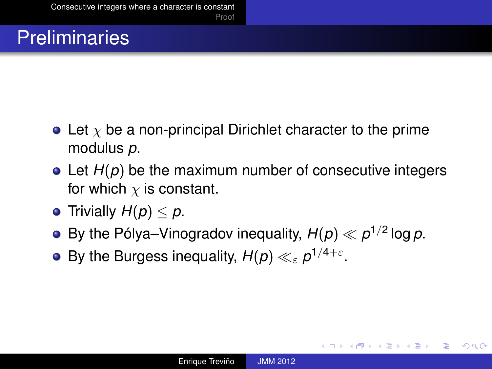# **Preliminaries**

- Let  $\chi$  be a non-principal Dirichlet character to the prime modulus *p*.
- Let *H(p)* be the maximum number of consecutive integers for which  $\chi$  is constant.
- **•** Trivially  $H(p) \leq p$ .
- By the Pólya–Vinogradov inequality,  $H(p) \ll p^{1/2}$  log  $p$ .
- By the Burgess inequality,  $H(p) \ll_{\varepsilon} p^{1/4+\varepsilon}.$

イロメ イ押 メイヨメ イヨメ

<span id="page-1-0"></span>÷.  $QQ$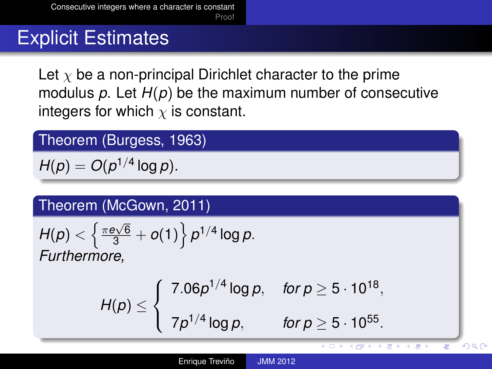# Explicit Estimates

Let  $\chi$  be a non-principal Dirichlet character to the prime modulus *p*. Let *H*(*p*) be the maximum number of consecutive integers for which  $\chi$  is constant.

Theorem (Burgess, 1963)

 $H(p) = O(p^{1/4} \log p)$ .

Theorem (McGown, 2011)

$$
H(p) < \left\{ \frac{\pi e \sqrt{6}}{3} + o(1) \right\} p^{1/4} \log p.
$$
  
Furthermore,

$$
H(p) \leq \begin{cases} 7.06p^{1/4} \log p, & \text{for } p \geq 5 \cdot 10^{18}, \\ 7p^{1/4} \log p, & \text{for } p \geq 5 \cdot 10^{55}. \end{cases}
$$

 $290$ 

Ξ

**KD > KAP > K = > K = >**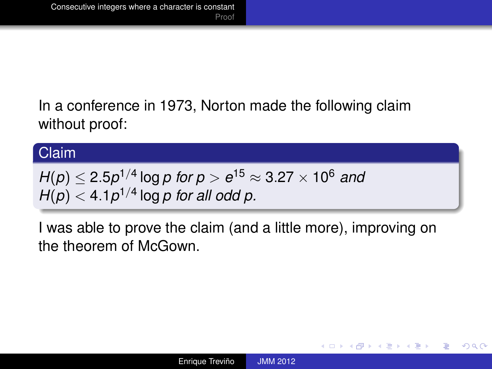In a conference in 1973, Norton made the following claim without proof:

#### Claim

$$
H(p) \le 2.5p^{1/4} \log p \text{ for } p > e^{15} \approx 3.27 \times 10^6 \text{ and } H(p) < 4.1p^{1/4} \log p \text{ for all odd } p.
$$

I was able to prove the claim (and a little more), improving on the theorem of McGown.

÷.

 $QQ$ 

イロメ イ押 メイヨメ イヨメ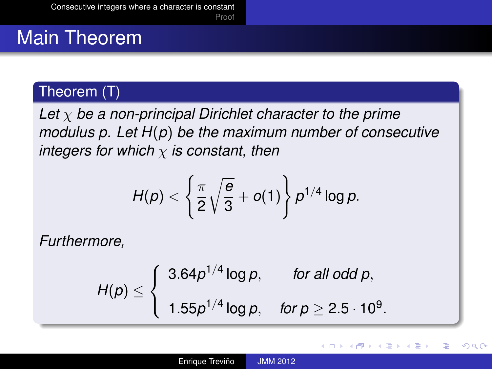# Main Theorem

### Theorem (T)

*Let* χ *be a non-principal Dirichlet character to the prime modulus p. Let H*(*p*) *be the maximum number of consecutive integers for which* χ *is constant, then*

$$
H(p) < \left\{\frac{\pi}{2}\sqrt{\frac{e}{3}}+o(1)\right\}p^{1/4}\log p.
$$

*Furthermore,*

$$
H(p) \leq \begin{cases} 3.64p^{1/4} \log p, & \text{for all odd } p, \\ 1.55p^{1/4} \log p, & \text{for } p \geq 2.5 \cdot 10^9. \end{cases}
$$

重き ă

( □ ) ( f )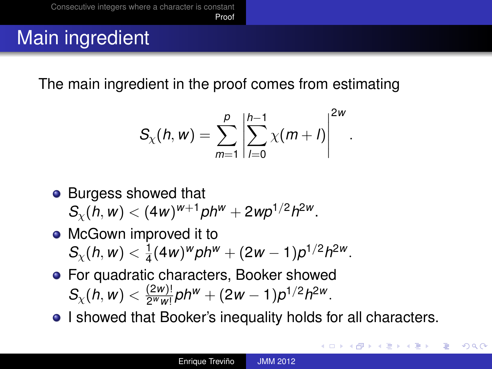# Main ingredient

The main ingredient in the proof comes from estimating

$$
S_{\chi}(h, w) = \sum_{m=1}^{p} \left| \sum_{l=0}^{h-1} \chi(m+l) \right|^{2w}.
$$

- Burgess showed that  $S_{\chi}(h, w) < (4w)^{w+1}$ *ph*<sup>*w*</sup> + 2*wp*<sup>1/2</sup>*h*<sup>2*w*</sup>.
- McGown improved it to  $S_\chi(h, w) < \frac{1}{4}$  $\frac{1}{4}(4w)^w p h^w + (2w - 1)p^{1/2}h^{2w}.$
- **•** For quadratic characters, Booker showed  $S_{\chi}(h, w) < \frac{(2w)!}{2^w w!}$  $\frac{(2w)!}{2^w w!}$ ph<sup>w</sup> + (2w – 1)p<sup>1/2</sup>h<sup>2w</sup>.
- I showed that Booker's inequality holds for all characters.

<span id="page-5-0"></span>**K ロ ト K 何 ト K ヨ ト K ヨ ト**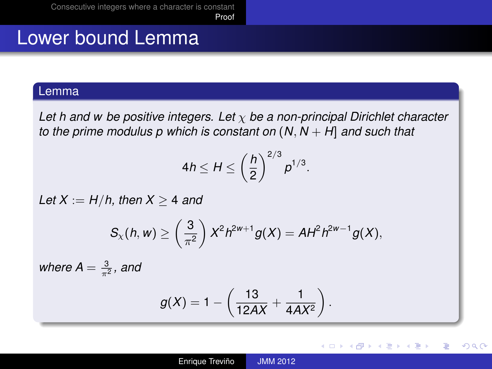[Proof](#page-5-0)

# Lower bound Lemma

#### Lemma

*Let h and w be positive integers. Let* χ *be a non-principal Dirichlet character to the prime modulus p which is constant on* (*N*, *N* + *H*] *and such that*

$$
4h \le H \le \left(\frac{h}{2}\right)^{2/3} p^{1/3}.
$$

*Let*  $X := H/h$ , then  $X > 4$  *and* 

$$
S_{\chi}(h, w) \geq \left(\frac{3}{\pi^2}\right) X^2 h^{2w+1} g(X) = A H^2 h^{2w-1} g(X),
$$

where  $A = \frac{3}{\pi^2}$ , and

$$
g(X)=1-\left(\frac{13}{12AX}+\frac{1}{4AX^2}\right).
$$

イロメ イ押 メイヨメ イヨメ

ă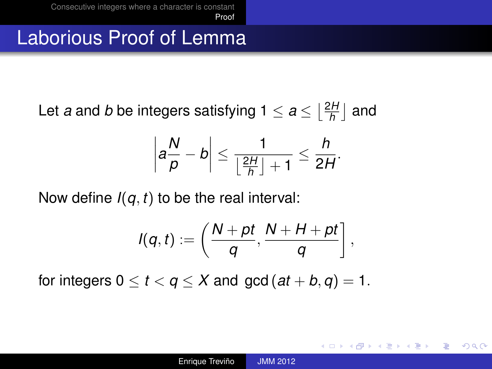## Laborious Proof of Lemma

Let *a* and *b* be integers satisfying  $1 \le a \le \lceil \frac{2H}{b} \rceil$  $\frac{2H}{h}$  and

$$
\left|a\frac{N}{p}-b\right|\leq \frac{1}{\left\lfloor\frac{2H}{h}\right\rfloor+1}\leq \frac{h}{2H}.
$$

Now define *I*(*q*, *t*) to be the real interval:

$$
I(q,t):=\left(\frac{N+pt}{q},\frac{N+H+pt}{q}\right],
$$

for integers  $0 \le t \le q \le X$  and  $gcd(at + b, q) = 1$ .

**≮ロト ⊀何 ト ⊀ ヨ ト ⊀ ヨ ト** 

ミー  $200$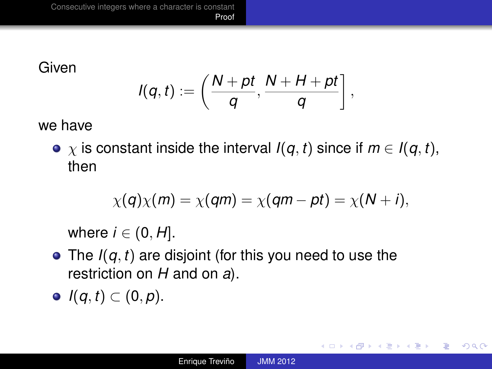[Proof](#page-5-0)

Given

$$
I(q,t):=\left(\frac{N+pt}{q},\frac{N+H+pt}{q}\right],
$$

we have

•  $\chi$  is constant inside the interval *I*(*q*, *t*) since if  $m \in I(q, t)$ , then

$$
\chi(q)\chi(m)=\chi(qm)=\chi(qm-pt)=\chi(N+i),
$$

where  $i \in (0, H]$ .

- The *I*(*q*, *t*) are disjoint (for this you need to use the restriction on *H* and on *a*).
- *I*(*q*, *t*) ⊂ (0, *p*).

イロメ イ押 メイヨメ イヨメ

÷.  $QQ$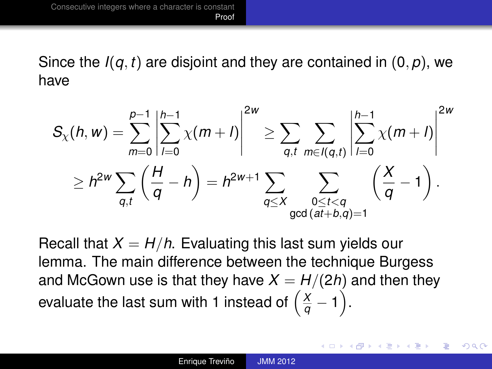Since the  $I(q, t)$  are disjoint and they are contained in  $(0, p)$ , we have

$$
S_{\chi}(h, w) = \sum_{m=0}^{p-1} \left| \sum_{l=0}^{h-1} \chi(m+l) \right|^{2w} \ge \sum_{q, t} \sum_{m \in l(q, t)} \left| \sum_{l=0}^{h-1} \chi(m+l) \right|^{2w}
$$
  
 
$$
\ge h^{2w} \sum_{q, t} \left( \frac{H}{q} - h \right) = h^{2w+1} \sum_{\substack{q \le X \\ \gcd(at+b,q)=1}} \sum_{\substack{0 \le t < q \\ \gcd(at+b,q)=1}} \left( \frac{X}{q} - 1 \right).
$$

Recall that  $X = H/h$ . Evaluating this last sum yields our lemma. The main difference between the technique Burgess and McGown use is that they have  $X = H/(2h)$  and then they evaluate the last sum with 1 instead of  $\left(\frac{X}{q}-1\right)$ .

イロメ イ押 メイヨメ イヨメ

 $290$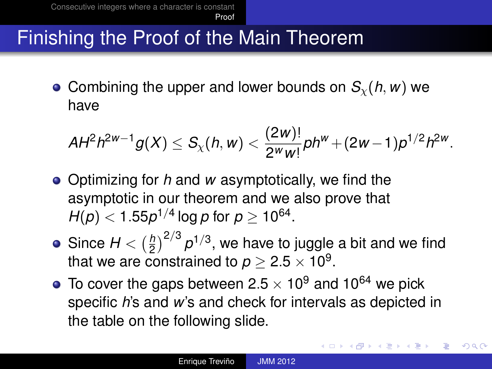# Finishing the Proof of the Main Theorem

• Combining the upper and lower bounds on  $S_{\gamma}(h, w)$  we have

$$
AH^2h^{2w-1}g(X)\leq S_{\chi}(h,w)<\frac{(2w)!}{2^ww!}ph^w+(2w-1)p^{1/2}h^{2w}.
$$

- Optimizing for *h* and *w* asymptotically, we find the asymptotic in our theorem and we also prove that  $H(p) < 1.55p^{1/4}\log p$  for  $p \geq 10^{64}.$
- Since  $H < (\frac{h}{2})$  $\left(\frac{h}{2}\right)^{2/3}$   $\rho^{1/3}$ , we have to juggle a bit and we find that we are constrained to  $p \geq 2.5 \times 10^9.$
- $\bullet$  To cover the gaps between 2.5  $\times$  10<sup>9</sup> and 10<sup>64</sup> we pick specific *h*'s and *w*'s and check for intervals as depicted in the table on the following slide.

イロト イ部 トイモト イモトー

B

 $QQ$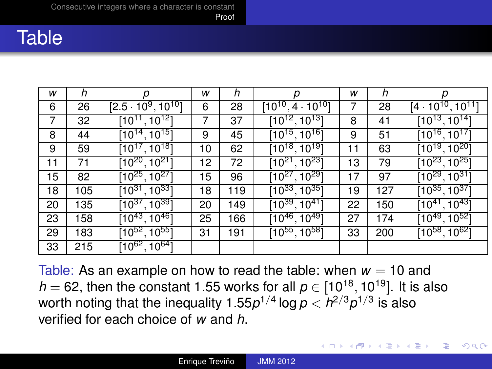[Proof](#page-5-0)

## **Table**

| w  | h   | р                                      | w  | h   |                                        | w  | h   | р                                      |
|----|-----|----------------------------------------|----|-----|----------------------------------------|----|-----|----------------------------------------|
| 6  | 26  | $[2.5 \cdot 10^9, 10^{10}]$            | 6  | 28  | $[10^{10}, 4\cdot 10^{10}]$            |    | 28  | $[4 \cdot 10^{10}, 10^{11}]$           |
| 7  | 32  | $[10^{11}, 10^{12}]$                   | 7  | 37  | $[10^{12}, 10^{13}]$                   | 8  | 41  | $[10^{13}, 10^{14}]$                   |
| 8  | 44  | $[10^{14}, 10^{15}]$                   | 9  | 45  | $[10^{15}, 10^{16}]$                   | 9  | 51  | $[10^{16}, 10^{17}]$                   |
| 9  | 59  | $[10^{17}, 10^{18}]$                   | 10 | 62  | $[10^{18}, 10^{19}]$                   | 11 | 63  | $[10^{19}, 10^{20}]$                   |
| 11 | 71  | [10 <sup>20</sup> , 10 <sup>21</sup> ] | 12 | 72  | $[10^{21}, 10^{23}]$                   | 13 | 79  | [10 <sup>23</sup> , 10 <sup>25</sup> ] |
| 15 | 82  | $[10^{25}, 10^{27}]$                   | 15 | 96  | $[10^{27}, 10^{29}]$                   | 17 | 97  | $[10^{29}, 10^{31}]$                   |
| 18 | 105 | $[10^{31}, 10^{33}]$                   | 18 | 119 | [10 <sup>33</sup> , 10 <sup>35</sup> ] | 19 | 127 | [10 <sup>35</sup> , 10 <sup>37</sup> ] |
| 20 | 135 | $[10^{37}, 10^{39}]$                   | 20 | 149 | $[10^{39}, 10^{41}]$                   | 22 | 150 | $[10^{41}, 10^{43}]$                   |
| 23 | 158 | $[10^{43},\overline{10^{46}}]$         | 25 | 166 | $[10^{46}, 10^{49}]$                   | 27 | 174 | $[10^{49}, 10^{52}]$                   |
| 29 | 183 | $[10^{52}, 10^{55}]$                   | 31 | 191 | $[10^{55}, 10^{58}]$                   | 33 | 200 | $[10^{58}, 10^{62}]$                   |
| 33 | 215 | $[10^{62}, 10^{64}]$                   |    |     |                                        |    |     |                                        |

Table: As an example on how to read the table: when  $w = 10$  and  $h = 62$ , then the constant 1.55 works for all  $p \in [10^{18}, 10^{19}]$ . It is also worth noting that the inequality 1.55 $p^{1/4}$  log  $p < h^{2/3}p^{1/3}$  is also verified for each choice of *w* and *h*.

イロメ イ押 メイヨメ イヨメ

B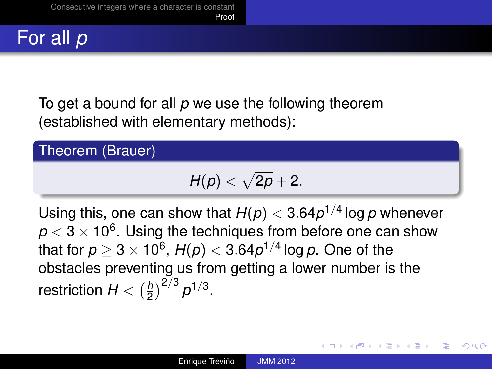

To get a bound for all *p* we use the following theorem (established with elementary methods):

Theorem (Brauer)

$$
H(p)<\sqrt{2p}+2.
$$

Using this, one can show that  $H(p) < 3.64p^{1/4}$  log  $p$  whenever  $\rho$   $<$  3  $\times$  10<sup>6</sup>. Using the techniques from before one can show that for  $p \geq 3 \times 10^6$ ,  $H(p) < 3.64 p^{1/4}$  log  $p$ . One of the obstacles preventing us from getting a lower number is the restriction  $H < (\frac{h}{2})$  $\frac{h}{2}$  $\Big)^{2/3}$   $\rho^{1/3}$ .

イロメ イ押 メイヨメ イヨメ

 $290$